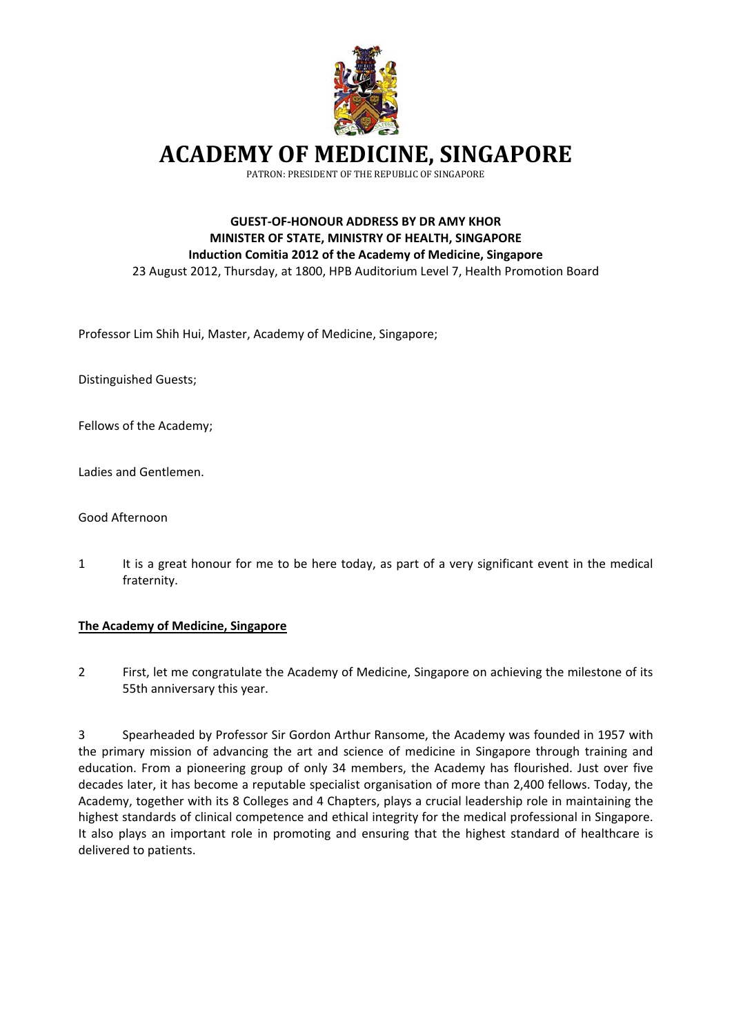

**ACADEMY OF MEDICINE, SINGAPORE**

PATRON: PRESIDENT OF THE REPUBLIC OF SINGAPORE

## **GUEST‐OF‐HONOUR ADDRESS BY DR AMY KHOR MINISTER OF STATE, MINISTRY OF HEALTH, SINGAPORE Induction Comitia 2012 of the Academy of Medicine, Singapore**  23 August 2012, Thursday, at 1800, HPB Auditorium Level 7, Health Promotion Board

Professor Lim Shih Hui, Master, Academy of Medicine, Singapore;

Distinguished Guests;

Fellows of the Academy;

Ladies and Gentlemen.

Good Afternoon

1 It is a great honour for me to be here today, as part of a very significant event in the medical fraternity.

#### **The Academy of Medicine, Singapore**

2 First, let me congratulate the Academy of Medicine, Singapore on achieving the milestone of its 55th anniversary this year.

3 Spearheaded by Professor Sir Gordon Arthur Ransome, the Academy was founded in 1957 with the primary mission of advancing the art and science of medicine in Singapore through training and education. From a pioneering group of only 34 members, the Academy has flourished. Just over five decades later, it has become a reputable specialist organisation of more than 2,400 fellows. Today, the Academy, together with its 8 Colleges and 4 Chapters, plays a crucial leadership role in maintaining the highest standards of clinical competence and ethical integrity for the medical professional in Singapore. It also plays an important role in promoting and ensuring that the highest standard of healthcare is delivered to patients.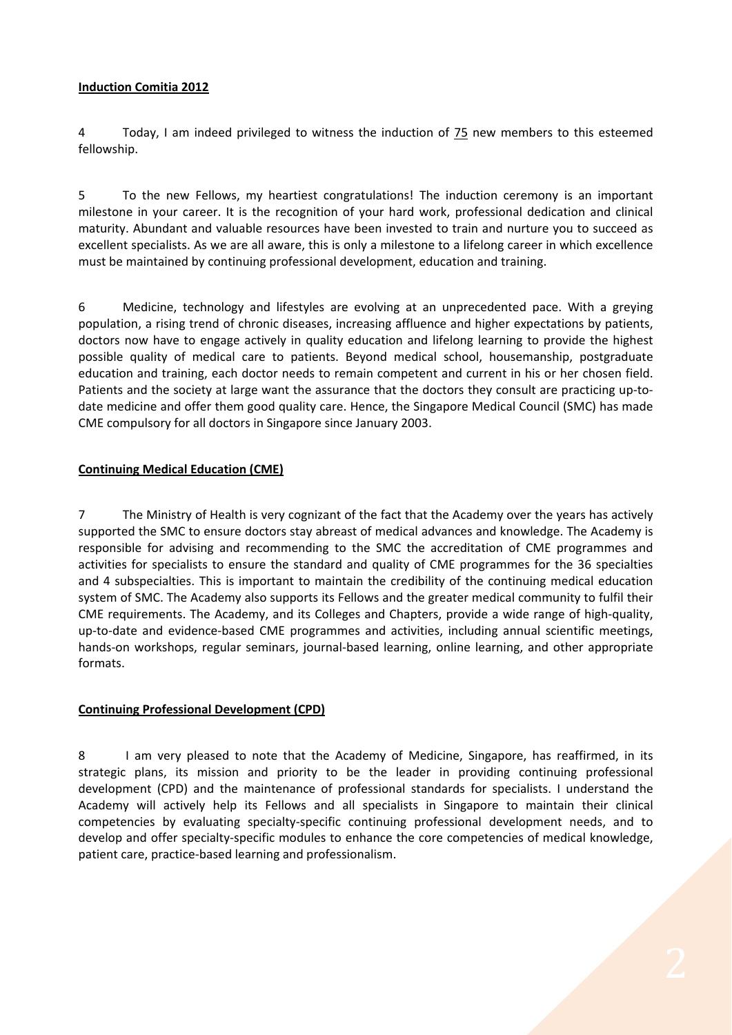#### **Induction Comitia 2012**

4 Today, I am indeed privileged to witness the induction of 75 new members to this esteemed fellowship.

5 To the new Fellows, my heartiest congratulations! The induction ceremony is an important milestone in your career. It is the recognition of your hard work, professional dedication and clinical maturity. Abundant and valuable resources have been invested to train and nurture you to succeed as excellent specialists. As we are all aware, this is only a milestone to a lifelong career in which excellence must be maintained by continuing professional development, education and training.

6 Medicine, technology and lifestyles are evolving at an unprecedented pace. With a greying population, a rising trend of chronic diseases, increasing affluence and higher expectations by patients, doctors now have to engage actively in quality education and lifelong learning to provide the highest possible quality of medical care to patients. Beyond medical school, housemanship, postgraduate education and training, each doctor needs to remain competent and current in his or her chosen field. Patients and the society at large want the assurance that the doctors they consult are practicing up‐to‐ date medicine and offer them good quality care. Hence, the Singapore Medical Council (SMC) has made CME compulsory for all doctors in Singapore since January 2003.

## **Continuing Medical Education (CME)**

7 The Ministry of Health is very cognizant of the fact that the Academy over the years has actively supported the SMC to ensure doctors stay abreast of medical advances and knowledge. The Academy is responsible for advising and recommending to the SMC the accreditation of CME programmes and activities for specialists to ensure the standard and quality of CME programmes for the 36 specialties and 4 subspecialties. This is important to maintain the credibility of the continuing medical education system of SMC. The Academy also supports its Fellows and the greater medical community to fulfil their CME requirements. The Academy, and its Colleges and Chapters, provide a wide range of high‐quality, up‐to‐date and evidence‐based CME programmes and activities, including annual scientific meetings, hands‐on workshops, regular seminars, journal‐based learning, online learning, and other appropriate formats.

# **Continuing Professional Development (CPD)**

8 I am very pleased to note that the Academy of Medicine, Singapore, has reaffirmed, in its strategic plans, its mission and priority to be the leader in providing continuing professional development (CPD) and the maintenance of professional standards for specialists. I understand the Academy will actively help its Fellows and all specialists in Singapore to maintain their clinical competencies by evaluating specialty-specific continuing professional development needs, and to develop and offer specialty-specific modules to enhance the core competencies of medical knowledge, patient care, practice‐based learning and professionalism.